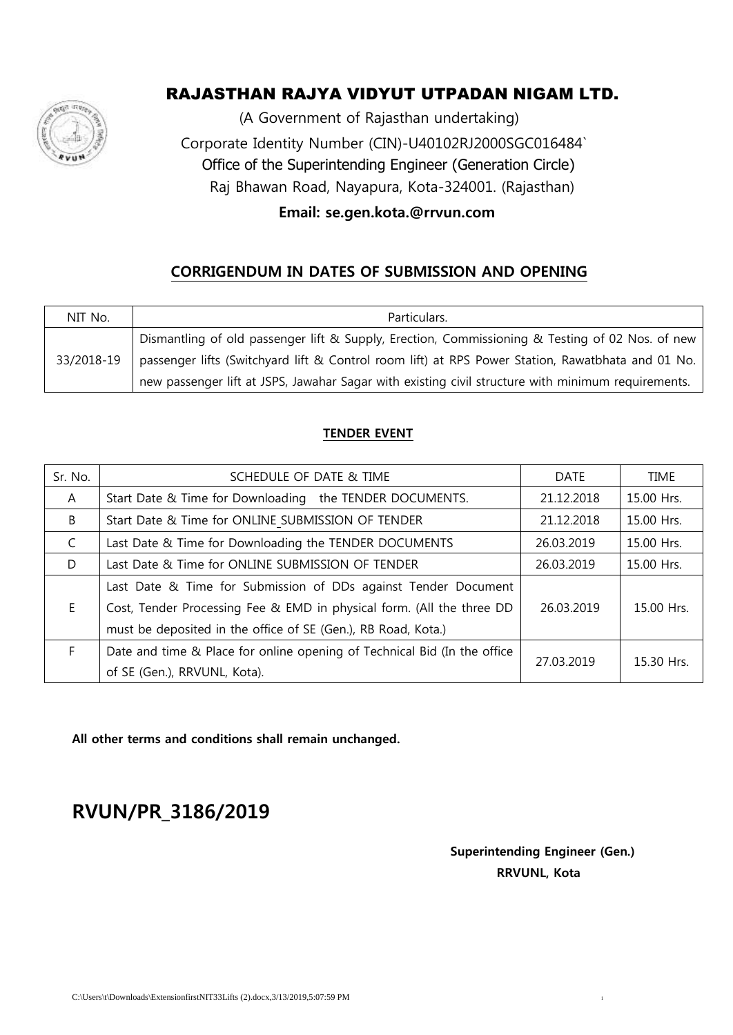

# RAJASTHAN RAJYA VIDYUT UTPADAN NIGAM LTD.

(A Government of Rajasthan undertaking)

 Corporate Identity Number (CIN)-U40102RJ2000SGC016484` Office of the Superintending Engineer (Generation Circle) Raj Bhawan Road, Nayapura, Kota-324001. (Rajasthan)

 **Email: se.gen.kota.@rrvun.com**

## **CORRIGENDUM IN DATES OF SUBMISSION AND OPENING**

| NIT No.    | Particulars.                                                                                       |  |  |
|------------|----------------------------------------------------------------------------------------------------|--|--|
|            | Dismantling of old passenger lift & Supply, Erection, Commissioning & Testing of 02 Nos. of new    |  |  |
| 33/2018-19 | passenger lifts (Switchyard lift & Control room lift) at RPS Power Station, Rawatbhata and 01 No.  |  |  |
|            | new passenger lift at JSPS, Jawahar Sagar with existing civil structure with minimum requirements. |  |  |

#### **TENDER EVENT**

| Sr. No. | SCHEDULE OF DATE & TIME                                                  | DATE       | <b>TIME</b> |
|---------|--------------------------------------------------------------------------|------------|-------------|
| A       | Start Date & Time for Downloading the TENDER DOCUMENTS.                  | 21.12.2018 | 15.00 Hrs.  |
| B       | Start Date & Time for ONLINE SUBMISSION OF TENDER                        | 21.12.2018 | 15.00 Hrs.  |
| C       | Last Date & Time for Downloading the TENDER DOCUMENTS                    | 26.03.2019 | 15.00 Hrs.  |
| D       | Last Date & Time for ONLINE SUBMISSION OF TENDER                         | 26.03.2019 | 15.00 Hrs.  |
|         | Last Date & Time for Submission of DDs against Tender Document           |            |             |
| F.      | Cost, Tender Processing Fee & EMD in physical form. (All the three DD    | 26.03.2019 | 15.00 Hrs.  |
|         | must be deposited in the office of SE (Gen.), RB Road, Kota.)            |            |             |
| F.      | Date and time & Place for online opening of Technical Bid (In the office | 27.03.2019 | 15.30 Hrs.  |
|         | of SE (Gen.), RRVUNL, Kota).                                             |            |             |

**All other terms and conditions shall remain unchanged.**

**RVUN/PR\_3186/2019**

 **Superintending Engineer (Gen.) RRVUNL, Kota**